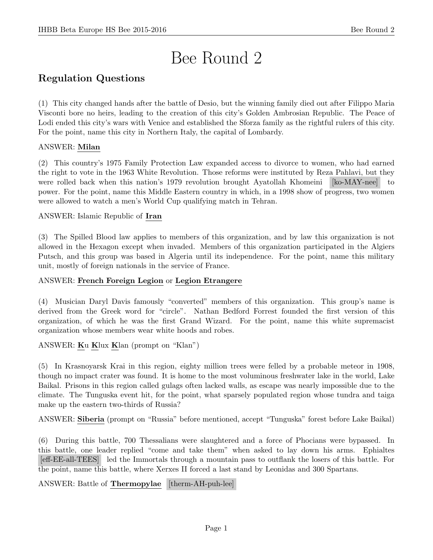# Bee Round 2

# Regulation Questions

(1) This city changed hands after the battle of Desio, but the winning family died out after Filippo Maria Visconti bore no heirs, leading to the creation of this city's Golden Ambrosian Republic. The Peace of Lodi ended this city's wars with Venice and established the Sforza family as the rightful rulers of this city. For the point, name this city in Northern Italy, the capital of Lombardy.

# ANSWER: Milan

(2) This country's 1975 Family Protection Law expanded access to divorce to women, who had earned the right to vote in the 1963 White Revolution. Those reforms were instituted by Reza Pahlavi, but they were rolled back when this nation's 1979 revolution brought Ayatollah Khomeini [ko-MAY-nee] to power. For the point, name this Middle Eastern country in which, in a 1998 show of progress, two women were allowed to watch a men's World Cup qualifying match in Tehran.

# ANSWER: Islamic Republic of Iran

(3) The Spilled Blood law applies to members of this organization, and by law this organization is not allowed in the Hexagon except when invaded. Members of this organization participated in the Algiers Putsch, and this group was based in Algeria until its independence. For the point, name this military unit, mostly of foreign nationals in the service of France.

# ANSWER: French Foreign Legion or Legion Etrangere

(4) Musician Daryl Davis famously "converted" members of this organization. This group's name is derived from the Greek word for "circle". Nathan Bedford Forrest founded the first version of this organization, of which he was the first Grand Wizard. For the point, name this white supremacist organization whose members wear white hoods and robes.

# ANSWER: Ku Klux Klan (prompt on "Klan")

(5) In Krasnoyarsk Krai in this region, eighty million trees were felled by a probable meteor in 1908, though no impact crater was found. It is home to the most voluminous freshwater lake in the world, Lake Baikal. Prisons in this region called gulags often lacked walls, as escape was nearly impossible due to the climate. The Tunguska event hit, for the point, what sparsely populated region whose tundra and taiga make up the eastern two-thirds of Russia?

ANSWER: Siberia (prompt on "Russia" before mentioned, accept "Tunguska" forest before Lake Baikal)

(6) During this battle, 700 Thessalians were slaughtered and a force of Phocians were bypassed. In this battle, one leader replied "come and take them" when asked to lay down his arms. Ephialtes [eff-EE-all-TEES] led the Immortals through a mountain pass to outflank the losers of this battle. For the point, name this battle, where Xerxes II forced a last stand by Leonidas and 300 Spartans.

ANSWER: Battle of **Thermopylae** [therm-AH-puh-lee]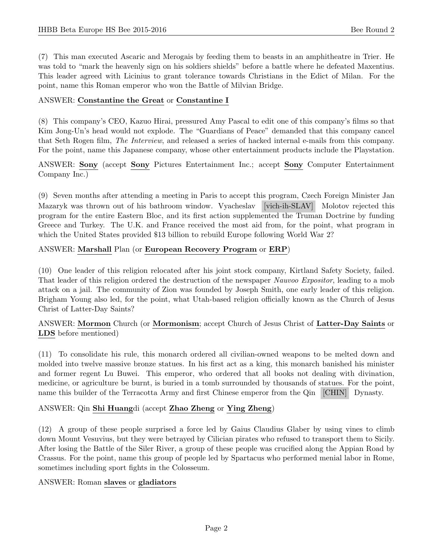(7) This man executed Ascaric and Merogais by feeding them to beasts in an amphitheatre in Trier. He was told to "mark the heavenly sign on his soldiers shields" before a battle where he defeated Maxentius. This leader agreed with Licinius to grant tolerance towards Christians in the Edict of Milan. For the point, name this Roman emperor who won the Battle of Milvian Bridge.

#### ANSWER: Constantine the Great or Constantine I

(8) This company's CEO, Kazuo Hirai, pressured Amy Pascal to edit one of this company's films so that Kim Jong-Un's head would not explode. The "Guardians of Peace" demanded that this company cancel that Seth Rogen film, The Interview, and released a series of hacked internal e-mails from this company. For the point, name this Japanese company, whose other entertainment products include the Playstation.

ANSWER: Sony (accept Sony Pictures Entertainment Inc.; accept Sony Computer Entertainment Company Inc.)

(9) Seven months after attending a meeting in Paris to accept this program, Czech Foreign Minister Jan Mazaryk was thrown out of his bathroom window. Vyacheslav [vich-ih-SLAV] Molotov rejected this program for the entire Eastern Bloc, and its first action supplemented the Truman Doctrine by funding Greece and Turkey. The U.K. and France received the most aid from, for the point, what program in which the United States provided \$13 billion to rebuild Europe following World War 2?

# ANSWER: Marshall Plan (or European Recovery Program or ERP)

(10) One leader of this religion relocated after his joint stock company, Kirtland Safety Society, failed. That leader of this religion ordered the destruction of the newspaper Nauvoo Expositor, leading to a mob attack on a jail. The community of Zion was founded by Joseph Smith, one early leader of this religion. Brigham Young also led, for the point, what Utah-based religion officially known as the Church of Jesus Christ of Latter-Day Saints?

ANSWER: Mormon Church (or Mormonism; accept Church of Jesus Christ of Latter-Day Saints or LDS before mentioned)

(11) To consolidate his rule, this monarch ordered all civilian-owned weapons to be melted down and molded into twelve massive bronze statues. In his first act as a king, this monarch banished his minister and former regent Lu Buwei. This emperor, who ordered that all books not dealing with divination, medicine, or agriculture be burnt, is buried in a tomb surrounded by thousands of statues. For the point, name this builder of the Terracotta Army and first Chinese emperor from the Qin [CHIN] Dynasty.

# ANSWER: Qin Shi Huangdi (accept Zhao Zheng or Ying Zheng)

(12) A group of these people surprised a force led by Gaius Claudius Glaber by using vines to climb down Mount Vesuvius, but they were betrayed by Cilician pirates who refused to transport them to Sicily. After losing the Battle of the Siler River, a group of these people was crucified along the Appian Road by Crassus. For the point, name this group of people led by Spartacus who performed menial labor in Rome, sometimes including sport fights in the Colosseum.

# ANSWER: Roman slaves or gladiators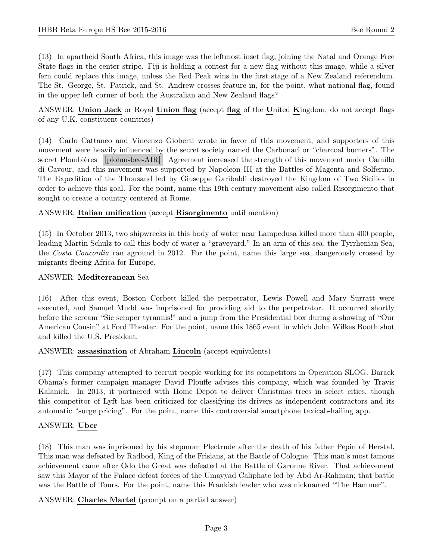(13) In apartheid South Africa, this image was the leftmost inset flag, joining the Natal and Orange Free State flags in the center stripe. Fiji is holding a contest for a new flag without this image, while a silver fern could replace this image, unless the Red Peak wins in the first stage of a New Zealand referendum. The St. George, St. Patrick, and St. Andrew crosses feature in, for the point, what national flag, found in the upper left corner of both the Australian and New Zealand flags?

ANSWER: Union Jack or Royal Union flag (accept flag of the United Kingdom; do not accept flags of any U.K. constituent countries)

(14) Carlo Cattaneo and Vincenzo Gioberti wrote in favor of this movement, and supporters of this movement were heavily influenced by the secret society named the Carbonari or "charcoal burners". The secret Plombières [plohm-bee-AIR] Agreement increased the strength of this movement under Camillo di Cavour, and this movement was supported by Napoleon III at the Battles of Magenta and Solferino. The Expedition of the Thousand led by Giuseppe Garibaldi destroyed the Kingdom of Two Sicilies in order to achieve this goal. For the point, name this 19th century movement also called Risorgimento that sought to create a country centered at Rome.

#### ANSWER: Italian unification (accept Risorgimento until mention)

(15) In October 2013, two shipwrecks in this body of water near Lampedusa killed more than 400 people, leading Martin Schulz to call this body of water a "graveyard." In an arm of this sea, the Tyrrhenian Sea, the Costa Concordia ran aground in 2012. For the point, name this large sea, dangerously crossed by migrants fleeing Africa for Europe.

#### ANSWER: Mediterranean Sea

(16) After this event, Boston Corbett killed the perpetrator, Lewis Powell and Mary Surratt were executed, and Samuel Mudd was imprisoned for providing aid to the perpetrator. It occurred shortly before the scream "Sic semper tyrannis!" and a jump from the Presidential box during a showing of "Our American Cousin" at Ford Theater. For the point, name this 1865 event in which John Wilkes Booth shot and killed the U.S. President.

#### ANSWER: assassination of Abraham Lincoln (accept equivalents)

(17) This company attempted to recruit people working for its competitors in Operation SLOG. Barack Obama's former campaign manager David Plouffe advises this company, which was founded by Travis Kalanick. In 2013, it partnered with Home Depot to deliver Christmas trees in select cities, though this competitor of Lyft has been criticized for classifying its drivers as independent contractors and its automatic "surge pricing". For the point, name this controversial smartphone taxicab-hailing app.

#### ANSWER: Uber

(18) This man was inprisoned by his stepmom Plectrude after the death of his father Pepin of Herstal. This man was defeated by Radbod, King of the Frisians, at the Battle of Cologne. This man's most famous achievement came after Odo the Great was defeated at the Battle of Garonne River. That achievement saw this Mayor of the Palace defeat forces of the Umayyad Caliphate led by Abd Ar-Rahman; that battle was the Battle of Tours. For the point, name this Frankish leader who was nicknamed "The Hammer".

ANSWER: Charles Martel (prompt on a partial answer)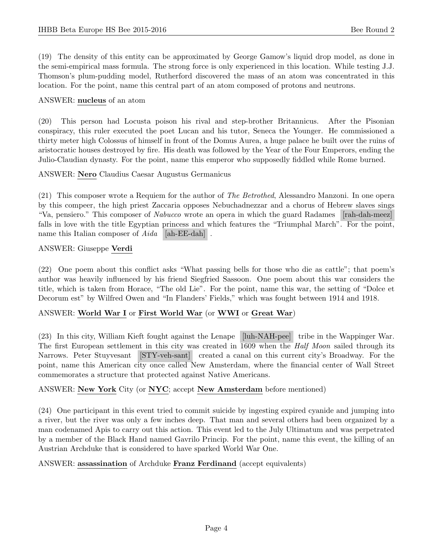(19) The density of this entity can be approximated by George Gamow's liquid drop model, as done in the semi-empirical mass formula. The strong force is only experienced in this location. While testing J.J. Thomson's plum-pudding model, Rutherford discovered the mass of an atom was concentrated in this location. For the point, name this central part of an atom composed of protons and neutrons.

#### ANSWER: nucleus of an atom

(20) This person had Locusta poison his rival and step-brother Britannicus. After the Pisonian conspiracy, this ruler executed the poet Lucan and his tutor, Seneca the Younger. He commissioned a thirty meter high Colossus of himself in front of the Domus Aurea, a huge palace he built over the ruins of aristocratic houses destroyed by fire. His death was followed by the Year of the Four Emperors, ending the Julio-Claudian dynasty. For the point, name this emperor who supposedly fiddled while Rome burned.

#### ANSWER: Nero Claudius Caesar Augustus Germanicus

(21) This composer wrote a Requiem for the author of The Betrothed, Alessandro Manzoni. In one opera by this compeer, the high priest Zaccaria opposes Nebuchadnezzar and a chorus of Hebrew slaves sings "Va, pensiero." This composer of Nabucco wrote an opera in which the guard Radames [rah-dah-meez] falls in love with the title Egyptian princess and which features the "Triumphal March". For the point, name this Italian composer of  $Aida$  [ah-EE-dah].

#### ANSWER: Giuseppe Verdi

(22) One poem about this conflict asks "What passing bells for those who die as cattle"; that poem's author was heavily influenced by his friend Siegfried Sassoon. One poem about this war considers the title, which is taken from Horace, "The old Lie". For the point, name this war, the setting of "Dolce et Decorum est" by Wilfred Owen and "In Flanders' Fields," which was fought between 1914 and 1918.

# ANSWER: World War I or First World War (or WWI or Great War)

(23) In this city, William Kieft fought against the Lenape [luh-NAH-pee] tribe in the Wappinger War. The first European settlement in this city was created in 1609 when the *Half Moon* sailed through its Narrows. Peter Stuyvesant [STY-veh-sant] created a canal on this current city's Broadway. For the point, name this American city once called New Amsterdam, where the financial center of Wall Street commemorates a structure that protected against Native Americans.

# ANSWER: New York City (or NYC; accept New Amsterdam before mentioned)

(24) One participant in this event tried to commit suicide by ingesting expired cyanide and jumping into a river, but the river was only a few inches deep. That man and several others had been organized by a man codenamed Apis to carry out this action. This event led to the July Ultimatum and was perpetrated by a member of the Black Hand named Gavrilo Princip. For the point, name this event, the killing of an Austrian Archduke that is considered to have sparked World War One.

#### ANSWER: assassination of Archduke Franz Ferdinand (accept equivalents)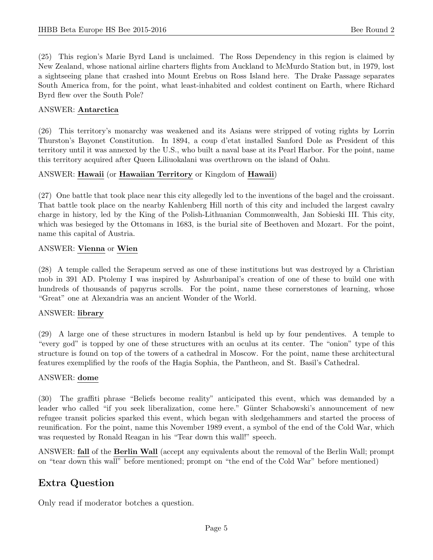(25) This region's Marie Byrd Land is unclaimed. The Ross Dependency in this region is claimed by New Zealand, whose national airline charters flights from Auckland to McMurdo Station but, in 1979, lost a sightseeing plane that crashed into Mount Erebus on Ross Island here. The Drake Passage separates South America from, for the point, what least-inhabited and coldest continent on Earth, where Richard Byrd flew over the South Pole?

#### ANSWER: Antarctica

(26) This territory's monarchy was weakened and its Asians were stripped of voting rights by Lorrin Thurston's Bayonet Constitution. In 1894, a coup d'etat installed Sanford Dole as President of this territory until it was annexed by the U.S., who built a naval base at its Pearl Harbor. For the point, name this territory acquired after Queen Liliuokalani was overthrown on the island of Oahu.

#### ANSWER: Hawaii (or Hawaiian Territory or Kingdom of Hawaii)

(27) One battle that took place near this city allegedly led to the inventions of the bagel and the croissant. That battle took place on the nearby Kahlenberg Hill north of this city and included the largest cavalry charge in history, led by the King of the Polish-Lithuanian Commonwealth, Jan Sobieski III. This city, which was besieged by the Ottomans in 1683, is the burial site of Beethoven and Mozart. For the point, name this capital of Austria.

#### ANSWER: Vienna or Wien

(28) A temple called the Serapeum served as one of these institutions but was destroyed by a Christian mob in 391 AD. Ptolemy I was inspired by Ashurbanipal's creation of one of these to build one with hundreds of thousands of papyrus scrolls. For the point, name these cornerstones of learning, whose "Great" one at Alexandria was an ancient Wonder of the World.

#### ANSWER: library

(29) A large one of these structures in modern Istanbul is held up by four pendentives. A temple to "every god" is topped by one of these structures with an oculus at its center. The "onion" type of this structure is found on top of the towers of a cathedral in Moscow. For the point, name these architectural features exemplified by the roofs of the Hagia Sophia, the Pantheon, and St. Basil's Cathedral.

#### ANSWER: dome

(30) The graffiti phrase "Beliefs become reality" anticipated this event, which was demanded by a leader who called "if you seek liberalization, come here." Günter Schabowski's announcement of new refugee transit policies sparked this event, which began with sledgehammers and started the process of reunification. For the point, name this November 1989 event, a symbol of the end of the Cold War, which was requested by Ronald Reagan in his "Tear down this wall!" speech.

ANSWER: fall of the Berlin Wall (accept any equivalents about the removal of the Berlin Wall; prompt on "tear down this wall" before mentioned; prompt on "the end of the Cold War" before mentioned)

# Extra Question

Only read if moderator botches a question.